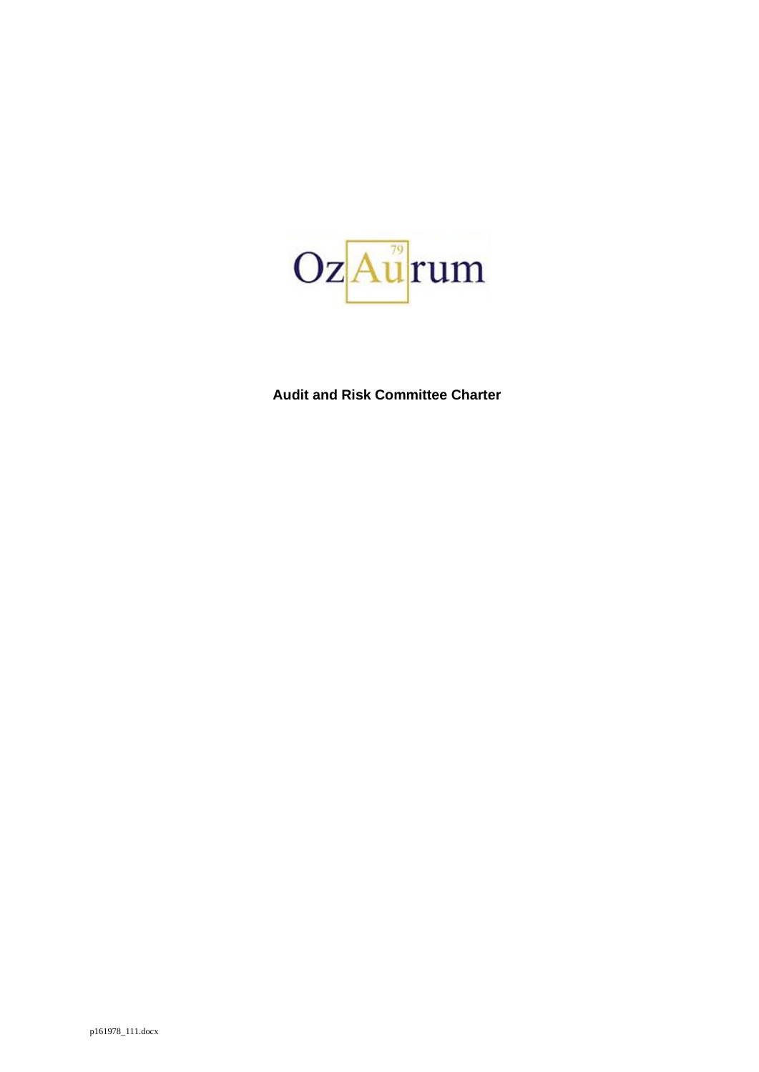

**Audit and Risk Committee Charter**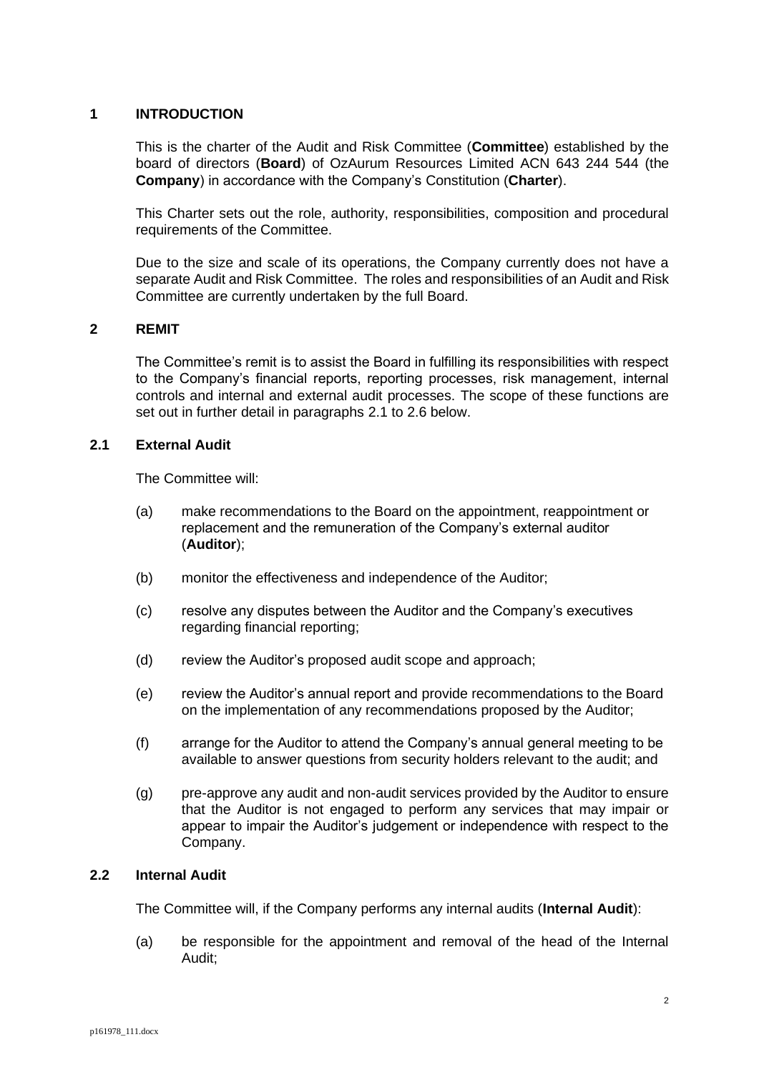# **1 INTRODUCTION**

This is the charter of the Audit and Risk Committee (**Committee**) established by the board of directors (**Board**) of OzAurum Resources Limited ACN 643 244 544 (the **Company**) in accordance with the Company's Constitution (**Charter**).

This Charter sets out the role, authority, responsibilities, composition and procedural requirements of the Committee.

Due to the size and scale of its operations, the Company currently does not have a separate Audit and Risk Committee. The roles and responsibilities of an Audit and Risk Committee are currently undertaken by the full Board.

# **2 REMIT**

The Committee's remit is to assist the Board in fulfilling its responsibilities with respect to the Company's financial reports, reporting processes, risk management, internal controls and internal and external audit processes. The scope of these functions are set out in further detail in paragraphs [2.1](#page-1-0) to [2.6](#page-3-0) below.

## <span id="page-1-0"></span>**2.1 External Audit**

The Committee will:

- (a) make recommendations to the Board on the appointment, reappointment or replacement and the remuneration of the Company's external auditor (**Auditor**);
- (b) monitor the effectiveness and independence of the Auditor;
- (c) resolve any disputes between the Auditor and the Company's executives regarding financial reporting;
- (d) review the Auditor's proposed audit scope and approach;
- (e) review the Auditor's annual report and provide recommendations to the Board on the implementation of any recommendations proposed by the Auditor;
- (f) arrange for the Auditor to attend the Company's annual general meeting to be available to answer questions from security holders relevant to the audit; and
- (g) pre-approve any audit and non-audit services provided by the Auditor to ensure that the Auditor is not engaged to perform any services that may impair or appear to impair the Auditor's judgement or independence with respect to the Company.

## **2.2 Internal Audit**

The Committee will, if the Company performs any internal audits (**Internal Audit**):

(a) be responsible for the appointment and removal of the head of the Internal Audit;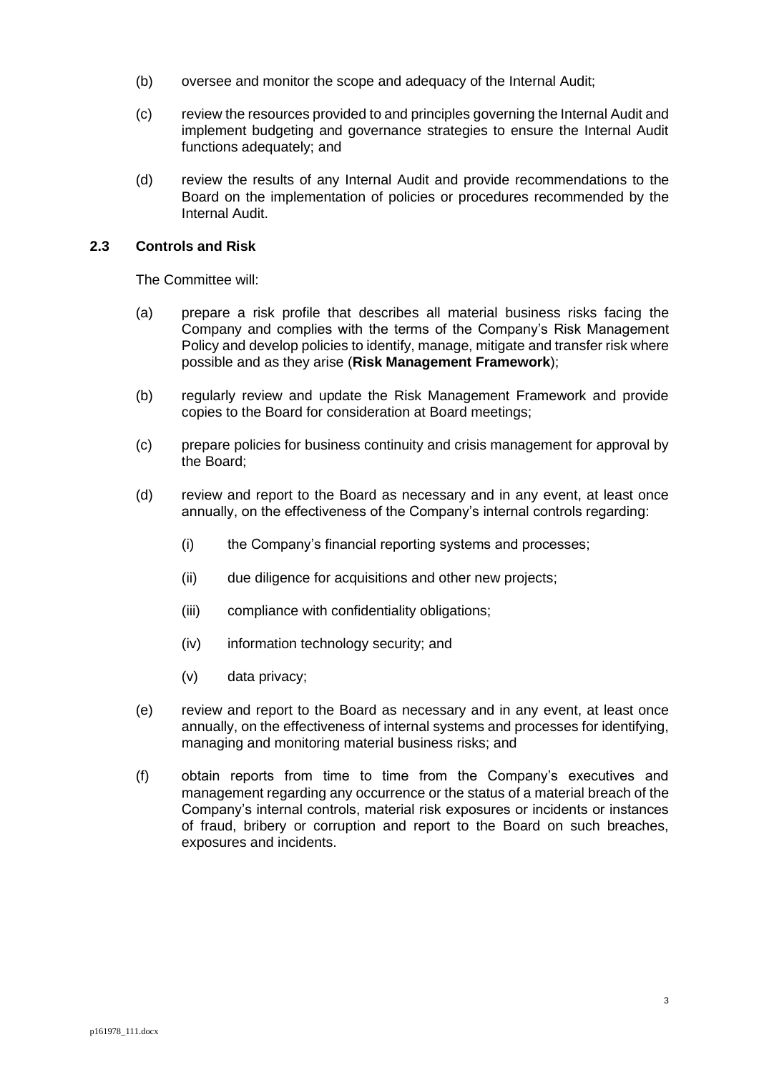- (b) oversee and monitor the scope and adequacy of the Internal Audit;
- (c) review the resources provided to and principles governing the Internal Audit and implement budgeting and governance strategies to ensure the Internal Audit functions adequately; and
- (d) review the results of any Internal Audit and provide recommendations to the Board on the implementation of policies or procedures recommended by the Internal Audit.

## **2.3 Controls and Risk**

The Committee will:

- (a) prepare a risk profile that describes all material business risks facing the Company and complies with the terms of the Company's Risk Management Policy and develop policies to identify, manage, mitigate and transfer risk where possible and as they arise (**Risk Management Framework**);
- (b) regularly review and update the Risk Management Framework and provide copies to the Board for consideration at Board meetings;
- (c) prepare policies for business continuity and crisis management for approval by the Board;
- (d) review and report to the Board as necessary and in any event, at least once annually, on the effectiveness of the Company's internal controls regarding:
	- (i) the Company's financial reporting systems and processes;
	- (ii) due diligence for acquisitions and other new projects;
	- (iii) compliance with confidentiality obligations;
	- (iv) information technology security; and
	- (v) data privacy;
- (e) review and report to the Board as necessary and in any event, at least once annually, on the effectiveness of internal systems and processes for identifying, managing and monitoring material business risks; and
- (f) obtain reports from time to time from the Company's executives and management regarding any occurrence or the status of a material breach of the Company's internal controls, material risk exposures or incidents or instances of fraud, bribery or corruption and report to the Board on such breaches, exposures and incidents.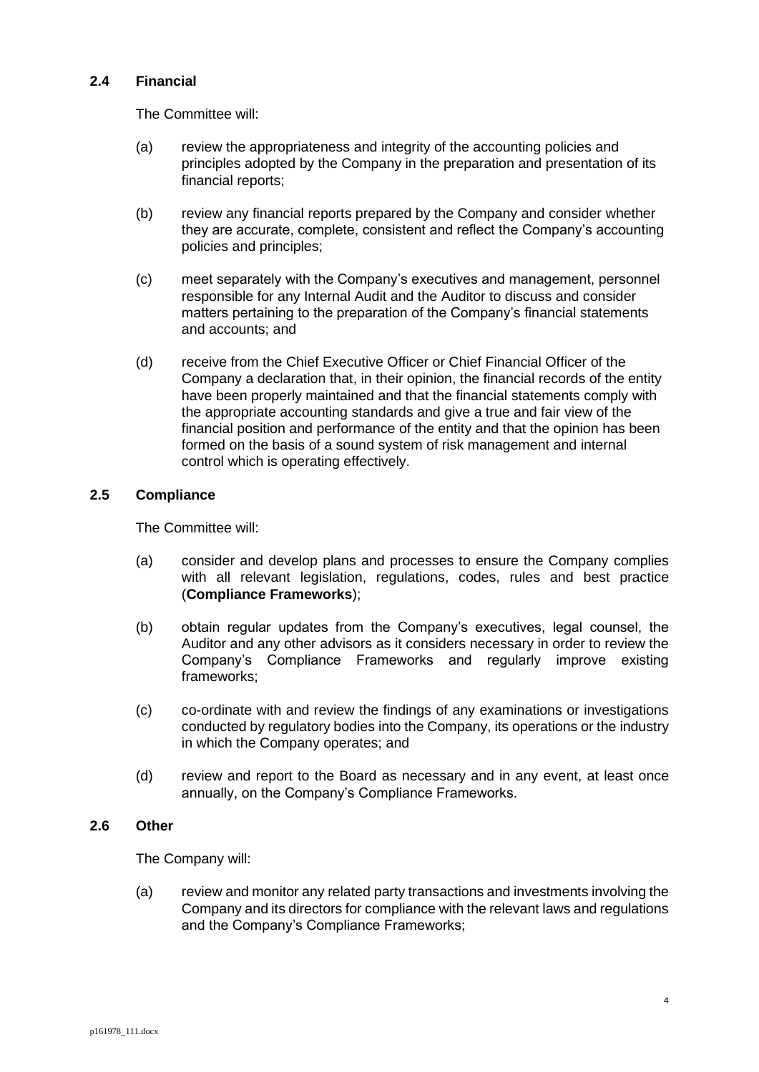## **2.4 Financial**

The Committee will:

- (a) review the appropriateness and integrity of the accounting policies and principles adopted by the Company in the preparation and presentation of its financial reports;
- (b) review any financial reports prepared by the Company and consider whether they are accurate, complete, consistent and reflect the Company's accounting policies and principles;
- (c) meet separately with the Company's executives and management, personnel responsible for any Internal Audit and the Auditor to discuss and consider matters pertaining to the preparation of the Company's financial statements and accounts; and
- (d) receive from the Chief Executive Officer or Chief Financial Officer of the Company a declaration that, in their opinion, the financial records of the entity have been properly maintained and that the financial statements comply with the appropriate accounting standards and give a true and fair view of the financial position and performance of the entity and that the opinion has been formed on the basis of a sound system of risk management and internal control which is operating effectively.

# **2.5 Compliance**

The Committee will:

- (a) consider and develop plans and processes to ensure the Company complies with all relevant legislation, regulations, codes, rules and best practice (**Compliance Frameworks**);
- (b) obtain regular updates from the Company's executives, legal counsel, the Auditor and any other advisors as it considers necessary in order to review the Company's Compliance Frameworks and regularly improve existing frameworks;
- (c) co-ordinate with and review the findings of any examinations or investigations conducted by regulatory bodies into the Company, its operations or the industry in which the Company operates; and
- (d) review and report to the Board as necessary and in any event, at least once annually, on the Company's Compliance Frameworks.

## <span id="page-3-0"></span>**2.6 Other**

The Company will:

(a) review and monitor any related party transactions and investments involving the Company and its directors for compliance with the relevant laws and regulations and the Company's Compliance Frameworks;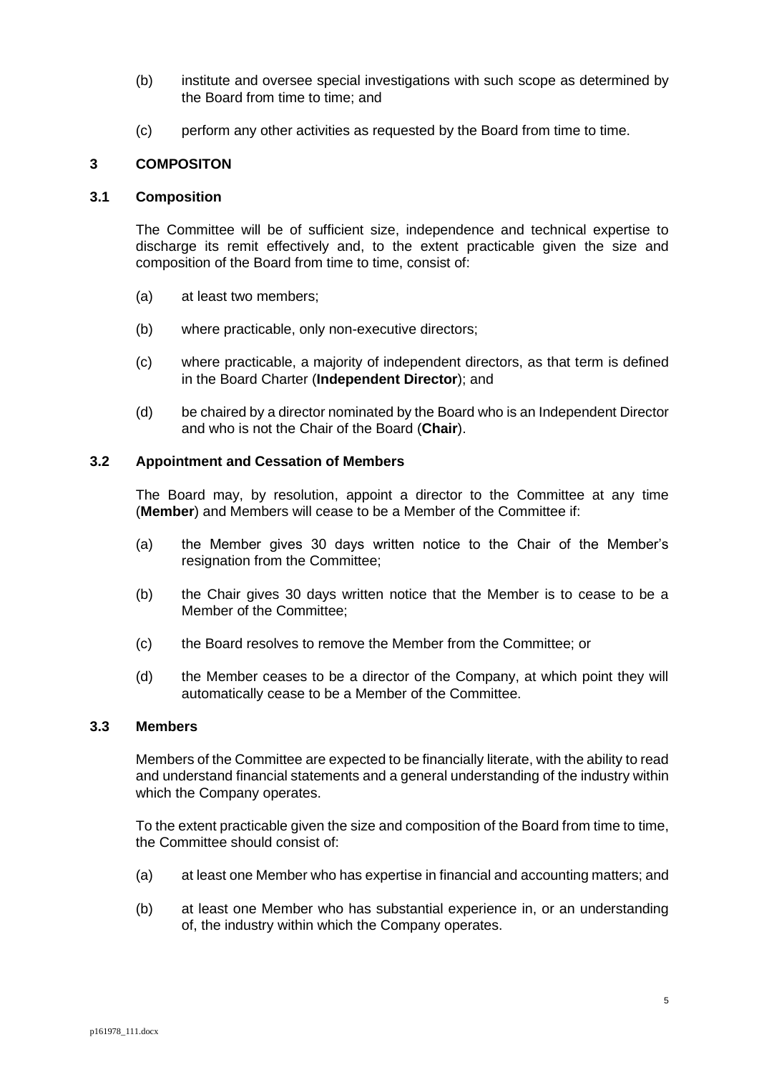- (b) institute and oversee special investigations with such scope as determined by the Board from time to time; and
- (c) perform any other activities as requested by the Board from time to time.

## **3 COMPOSITON**

#### **3.1 Composition**

The Committee will be of sufficient size, independence and technical expertise to discharge its remit effectively and, to the extent practicable given the size and composition of the Board from time to time, consist of:

- (a) at least two members;
- (b) where practicable, only non-executive directors;
- (c) where practicable, a majority of independent directors, as that term is defined in the Board Charter (**Independent Director**); and
- (d) be chaired by a director nominated by the Board who is an Independent Director and who is not the Chair of the Board (**Chair**).

#### **3.2 Appointment and Cessation of Members**

The Board may, by resolution, appoint a director to the Committee at any time (**Member**) and Members will cease to be a Member of the Committee if:

- (a) the Member gives 30 days written notice to the Chair of the Member's resignation from the Committee;
- (b) the Chair gives 30 days written notice that the Member is to cease to be a Member of the Committee;
- (c) the Board resolves to remove the Member from the Committee; or
- (d) the Member ceases to be a director of the Company, at which point they will automatically cease to be a Member of the Committee.

#### **3.3 Members**

Members of the Committee are expected to be financially literate, with the ability to read and understand financial statements and a general understanding of the industry within which the Company operates.

To the extent practicable given the size and composition of the Board from time to time, the Committee should consist of:

- (a) at least one Member who has expertise in financial and accounting matters; and
- (b) at least one Member who has substantial experience in, or an understanding of, the industry within which the Company operates.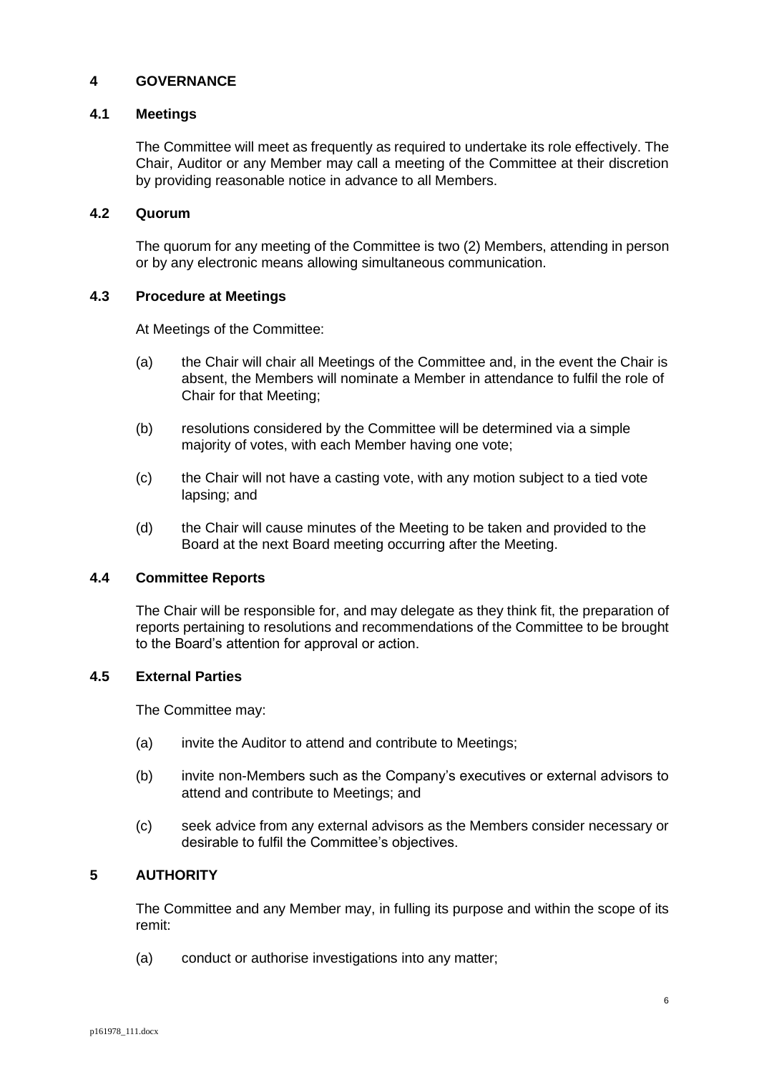## **4 GOVERNANCE**

#### **4.1 Meetings**

The Committee will meet as frequently as required to undertake its role effectively. The Chair, Auditor or any Member may call a meeting of the Committee at their discretion by providing reasonable notice in advance to all Members.

## **4.2 Quorum**

The quorum for any meeting of the Committee is two (2) Members, attending in person or by any electronic means allowing simultaneous communication.

## **4.3 Procedure at Meetings**

At Meetings of the Committee:

- (a) the Chair will chair all Meetings of the Committee and, in the event the Chair is absent, the Members will nominate a Member in attendance to fulfil the role of Chair for that Meeting;
- (b) resolutions considered by the Committee will be determined via a simple majority of votes, with each Member having one vote;
- (c) the Chair will not have a casting vote, with any motion subject to a tied vote lapsing; and
- (d) the Chair will cause minutes of the Meeting to be taken and provided to the Board at the next Board meeting occurring after the Meeting.

## **4.4 Committee Reports**

The Chair will be responsible for, and may delegate as they think fit, the preparation of reports pertaining to resolutions and recommendations of the Committee to be brought to the Board's attention for approval or action.

## **4.5 External Parties**

The Committee may:

- (a) invite the Auditor to attend and contribute to Meetings;
- (b) invite non-Members such as the Company's executives or external advisors to attend and contribute to Meetings; and
- (c) seek advice from any external advisors as the Members consider necessary or desirable to fulfil the Committee's objectives.

## **5 AUTHORITY**

The Committee and any Member may, in fulling its purpose and within the scope of its remit:

(a) conduct or authorise investigations into any matter;